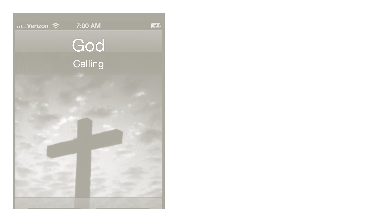